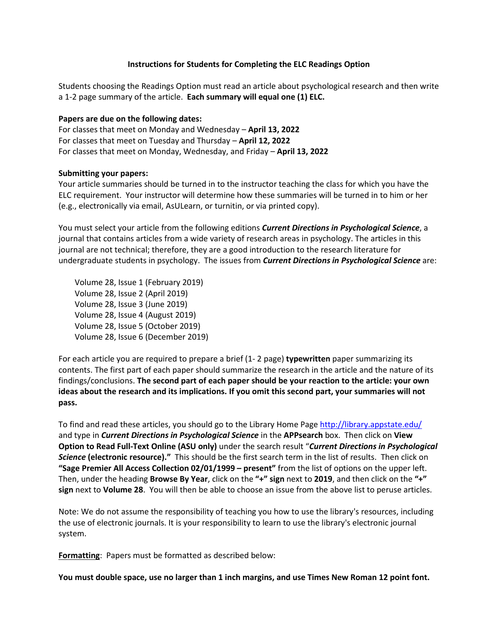## **Instructions for Students for Completing the ELC Readings Option**

Students choosing the Readings Option must read an article about psychological research and then write a 1-2 page summary of the article. **Each summary will equal one (1) ELC.**

## **Papers are due on the following dates:**

For classes that meet on Monday and Wednesday – **April 13, 2022** For classes that meet on Tuesday and Thursday – **April 12, 2022** For classes that meet on Monday, Wednesday, and Friday – **April 13, 2022**

## **Submitting your papers:**

Your article summaries should be turned in to the instructor teaching the class for which you have the ELC requirement. Your instructor will determine how these summaries will be turned in to him or her (e.g., electronically via email, AsULearn, or turnitin, or via printed copy).

You must select your article from the following editions *Current Directions in Psychological Science*, a journal that contains articles from a wide variety of research areas in psychology. The articles in this journal are not technical; therefore, they are a good introduction to the research literature for undergraduate students in psychology. The issues from *Current Directions in Psychological Science* are:

 Volume 28, Issue 1 (February 2019) Volume 28, Issue 2 (April 2019) Volume 28, Issue 3 (June 2019) Volume 28, Issue 4 (August 2019) Volume 28, Issue 5 (October 2019) Volume 28, Issue 6 (December 2019)

For each article you are required to prepare a brief (1- 2 page) **typewritten** paper summarizing its contents. The first part of each paper should summarize the research in the article and the nature of its findings/conclusions. **The second part of each paper should be your reaction to the article: your own ideas about the research and its implications. If you omit this second part, your summaries will not pass.** 

To find and read these articles, you should go to the Library Home Page http://library.appstate.edu/ and type in *Current Directions in Psychological Science* in the **APPsearch** box. Then click on **View Option to Read Full-Text Online (ASU only)** under the search result "*Current Directions in Psychological Science* **(electronic resource)."** This should be the first search term in the list of results. Then click on **"Sage Premier All Access Collection 02/01/1999 – present"** from the list of options on the upper left. Then, under the heading **Browse By Year**, click on the **"+" sign** next to **2019**, and then click on the **"+" sign** next to **Volume 28**. You will then be able to choose an issue from the above list to peruse articles.

Note: We do not assume the responsibility of teaching you how to use the library's resources, including the use of electronic journals. It is your responsibility to learn to use the library's electronic journal system.

**Formatting**: Papers must be formatted as described below:

**You must double space, use no larger than 1 inch margins, and use Times New Roman 12 point font.**